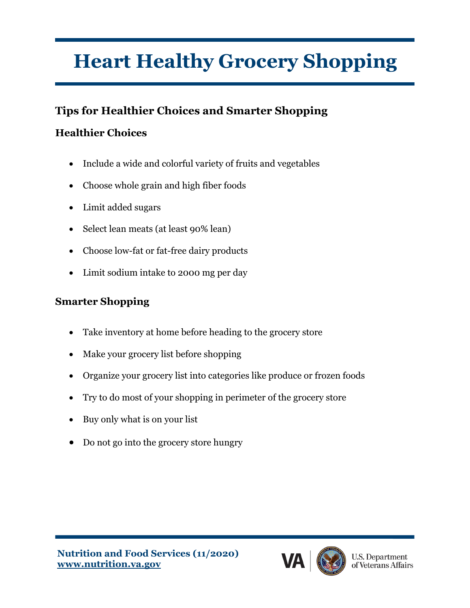# **Heart Healthy Grocery Shopping**

## **Tips for Healthier Choices and Smarter Shopping**

### **Healthier Choices**

- Include a wide and colorful variety of fruits and vegetables
- Choose whole grain and high fiber foods
- Limit added sugars
- Select lean meats (at least 90% lean)
- Choose low-fat or fat-free dairy products
- Limit sodium intake to 2000 mg per day

#### **Smarter Shopping**

- Take inventory at home before heading to the grocery store
- Make your grocery list before shopping
- Organize your grocery list into categories like produce or frozen foods
- Try to do most of your shopping in perimeter of the grocery store
- Buy only what is on your list
- Do not go into the grocery store hungry

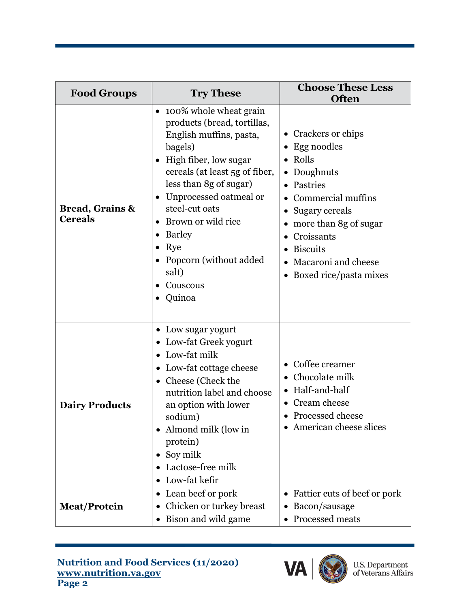| <b>Food Groups</b>                           | <b>Try These</b>                                                                                                                                                                                                                                                                                                                                                    | <b>Choose These Less</b><br><b>Often</b>                                                                                                                                                                                                  |
|----------------------------------------------|---------------------------------------------------------------------------------------------------------------------------------------------------------------------------------------------------------------------------------------------------------------------------------------------------------------------------------------------------------------------|-------------------------------------------------------------------------------------------------------------------------------------------------------------------------------------------------------------------------------------------|
| <b>Bread, Grains &amp;</b><br><b>Cereals</b> | 100% whole wheat grain<br>$\bullet$<br>products (bread, tortillas,<br>English muffins, pasta,<br>bagels)<br>High fiber, low sugar<br>$\bullet$<br>cereals (at least 5g of fiber,<br>less than 8g of sugar)<br>Unprocessed oatmeal or<br>$\bullet$<br>steel-cut oats<br>Brown or wild rice<br>Barley<br>Rye<br>Popcorn (without added<br>salt)<br>Couscous<br>Quinoa | • Crackers or chips<br>Egg noodles<br>٠<br>Rolls<br>Doughnuts<br>Pastries<br>Commercial muffins<br>Sugary cereals<br>more than 8g of sugar<br>Croissants<br><b>Biscuits</b><br>Macaroni and cheese<br>Boxed rice/pasta mixes<br>$\bullet$ |
| <b>Dairy Products</b>                        | • Low sugar yogurt<br>• Low-fat Greek yogurt<br>Low-fat milk<br>• Low-fat cottage cheese<br>• Cheese (Check the<br>nutrition label and choose<br>an option with lower<br>sodium)<br>Almond milk (low in<br>protein)<br>Soy milk<br>$\bullet$<br>Lactose-free milk<br>Low-fat kefir<br>$\bullet$                                                                     | Coffee creamer<br>Chocolate milk<br>Half-and-half<br>• Cream cheese<br><b>Processed cheese</b><br>• American cheese slices                                                                                                                |
| <b>Meat/Protein</b>                          | Lean beef or pork<br>Chicken or turkey breast<br>• Bison and wild game                                                                                                                                                                                                                                                                                              | Fattier cuts of beef or pork<br>$\bullet$<br>Bacon/sausage<br>Processed meats                                                                                                                                                             |

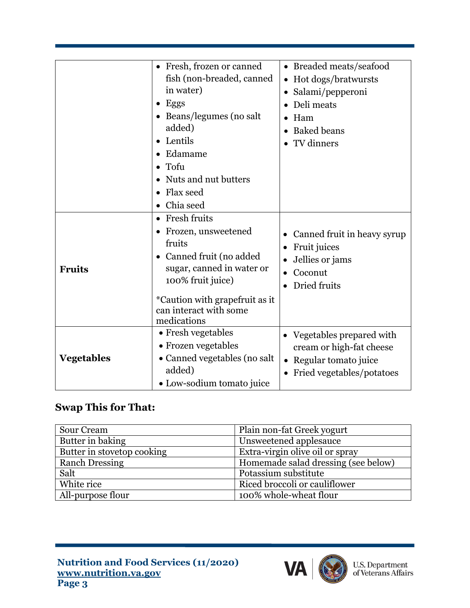|                   | • Fresh, frozen or canned                                | • Breaded meats/seafood           |
|-------------------|----------------------------------------------------------|-----------------------------------|
|                   | fish (non-breaded, canned                                | Hot dogs/bratwursts               |
|                   | in water)                                                | Salami/pepperoni                  |
|                   | Eggs                                                     | Deli meats                        |
|                   | Beans/legumes (no salt                                   | Ham                               |
|                   | added)                                                   | <b>Baked beans</b>                |
|                   | Lentils                                                  | TV dinners                        |
|                   | Edamame                                                  |                                   |
|                   | Tofu                                                     |                                   |
|                   | Nuts and nut butters                                     |                                   |
|                   | Flax seed                                                |                                   |
|                   | Chia seed                                                |                                   |
|                   | Fresh fruits                                             |                                   |
|                   | Frozen, unsweetened                                      | Canned fruit in heavy syrup       |
|                   | fruits                                                   | Fruit juices                      |
|                   | Canned fruit (no added                                   | Jellies or jams                   |
| <b>Fruits</b>     | sugar, canned in water or                                | Coconut                           |
|                   | 100% fruit juice)                                        | Dried fruits                      |
|                   | *Caution with grapefruit as it<br>can interact with some |                                   |
|                   | medications                                              |                                   |
| <b>Vegetables</b> | • Fresh vegetables                                       | Vegetables prepared with          |
|                   | • Frozen vegetables                                      | cream or high-fat cheese          |
|                   | • Canned vegetables (no salt                             | Regular tomato juice<br>$\bullet$ |
|                   | added)                                                   | Fried vegetables/potatoes<br>٠    |
|                   | • Low-sodium tomato juice                                |                                   |

#### **Swap This for That:**

| Sour Cream                 | Plain non-fat Greek yogurt          |
|----------------------------|-------------------------------------|
| Butter in baking           | Unsweetened applesauce              |
| Butter in stovetop cooking | Extra-virgin olive oil or spray     |
| <b>Ranch Dressing</b>      | Homemade salad dressing (see below) |
| Salt                       | Potassium substitute                |
| White rice                 | Riced broccoli or cauliflower       |
| All-purpose flour          | 100% whole-wheat flour              |